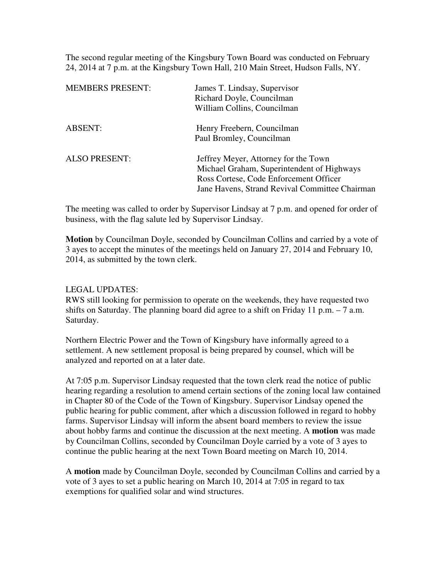The second regular meeting of the Kingsbury Town Board was conducted on February 24, 2014 at 7 p.m. at the Kingsbury Town Hall, 210 Main Street, Hudson Falls, NY.

| <b>MEMBERS PRESENT:</b> | James T. Lindsay, Supervisor<br>Richard Doyle, Councilman<br>William Collins, Councilman                                                                                       |
|-------------------------|--------------------------------------------------------------------------------------------------------------------------------------------------------------------------------|
| <b>ABSENT:</b>          | Henry Freebern, Councilman<br>Paul Bromley, Councilman                                                                                                                         |
| <b>ALSO PRESENT:</b>    | Jeffrey Meyer, Attorney for the Town<br>Michael Graham, Superintendent of Highways<br>Ross Cortese, Code Enforcement Officer<br>Jane Havens, Strand Revival Committee Chairman |

The meeting was called to order by Supervisor Lindsay at 7 p.m. and opened for order of business, with the flag salute led by Supervisor Lindsay.

**Motion** by Councilman Doyle, seconded by Councilman Collins and carried by a vote of 3 ayes to accept the minutes of the meetings held on January 27, 2014 and February 10, 2014, as submitted by the town clerk.

# LEGAL UPDATES:

RWS still looking for permission to operate on the weekends, they have requested two shifts on Saturday. The planning board did agree to a shift on Friday 11 p.m.  $-7$  a.m. Saturday.

Northern Electric Power and the Town of Kingsbury have informally agreed to a settlement. A new settlement proposal is being prepared by counsel, which will be analyzed and reported on at a later date.

At 7:05 p.m. Supervisor Lindsay requested that the town clerk read the notice of public hearing regarding a resolution to amend certain sections of the zoning local law contained in Chapter 80 of the Code of the Town of Kingsbury. Supervisor Lindsay opened the public hearing for public comment, after which a discussion followed in regard to hobby farms. Supervisor Lindsay will inform the absent board members to review the issue about hobby farms and continue the discussion at the next meeting. A **motion** was made by Councilman Collins, seconded by Councilman Doyle carried by a vote of 3 ayes to continue the public hearing at the next Town Board meeting on March 10, 2014.

A **motion** made by Councilman Doyle, seconded by Councilman Collins and carried by a vote of 3 ayes to set a public hearing on March 10, 2014 at 7:05 in regard to tax exemptions for qualified solar and wind structures.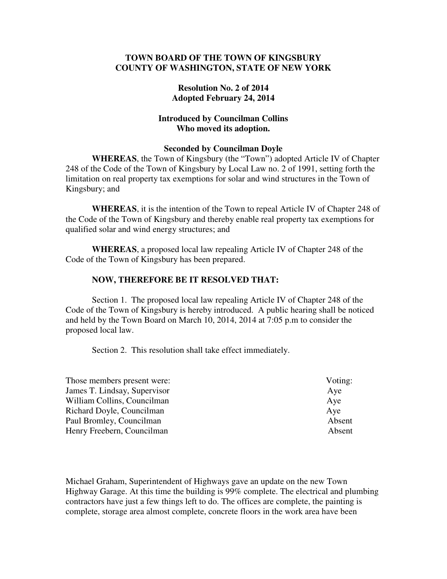# **TOWN BOARD OF THE TOWN OF KINGSBURY COUNTY OF WASHINGTON, STATE OF NEW YORK**

# **Resolution No. 2 of 2014 Adopted February 24, 2014**

# **Introduced by Councilman Collins Who moved its adoption.**

#### **Seconded by Councilman Doyle**

**WHEREAS**, the Town of Kingsbury (the "Town") adopted Article IV of Chapter 248 of the Code of the Town of Kingsbury by Local Law no. 2 of 1991, setting forth the limitation on real property tax exemptions for solar and wind structures in the Town of Kingsbury; and

**WHEREAS**, it is the intention of the Town to repeal Article IV of Chapter 248 of the Code of the Town of Kingsbury and thereby enable real property tax exemptions for qualified solar and wind energy structures; and

**WHEREAS**, a proposed local law repealing Article IV of Chapter 248 of the Code of the Town of Kingsbury has been prepared.

# **NOW, THEREFORE BE IT RESOLVED THAT:**

Section 1. The proposed local law repealing Article IV of Chapter 248 of the Code of the Town of Kingsbury is hereby introduced. A public hearing shall be noticed and held by the Town Board on March 10, 2014, 2014 at 7:05 p.m to consider the proposed local law.

Section 2. This resolution shall take effect immediately.

| Voting: |
|---------|
| Aye     |
| Aye     |
| Aye     |
| Absent  |
| Absent  |
|         |

Michael Graham, Superintendent of Highways gave an update on the new Town Highway Garage. At this time the building is 99% complete. The electrical and plumbing contractors have just a few things left to do. The offices are complete, the painting is complete, storage area almost complete, concrete floors in the work area have been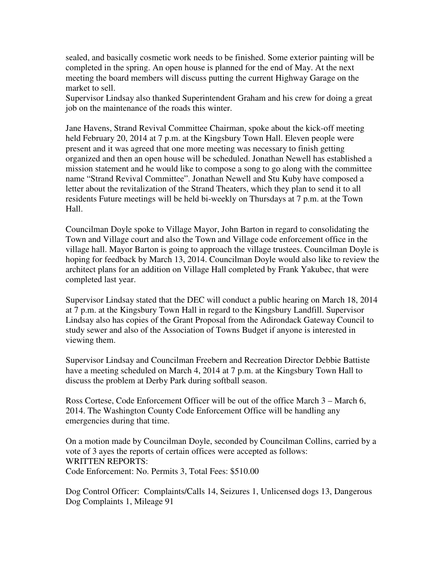sealed, and basically cosmetic work needs to be finished. Some exterior painting will be completed in the spring. An open house is planned for the end of May. At the next meeting the board members will discuss putting the current Highway Garage on the market to sell.

Supervisor Lindsay also thanked Superintendent Graham and his crew for doing a great job on the maintenance of the roads this winter.

Jane Havens, Strand Revival Committee Chairman, spoke about the kick-off meeting held February 20, 2014 at 7 p.m. at the Kingsbury Town Hall. Eleven people were present and it was agreed that one more meeting was necessary to finish getting organized and then an open house will be scheduled. Jonathan Newell has established a mission statement and he would like to compose a song to go along with the committee name "Strand Revival Committee". Jonathan Newell and Stu Kuby have composed a letter about the revitalization of the Strand Theaters, which they plan to send it to all residents Future meetings will be held bi-weekly on Thursdays at 7 p.m. at the Town Hall.

Councilman Doyle spoke to Village Mayor, John Barton in regard to consolidating the Town and Village court and also the Town and Village code enforcement office in the village hall. Mayor Barton is going to approach the village trustees. Councilman Doyle is hoping for feedback by March 13, 2014. Councilman Doyle would also like to review the architect plans for an addition on Village Hall completed by Frank Yakubec, that were completed last year.

Supervisor Lindsay stated that the DEC will conduct a public hearing on March 18, 2014 at 7 p.m. at the Kingsbury Town Hall in regard to the Kingsbury Landfill. Supervisor Lindsay also has copies of the Grant Proposal from the Adirondack Gateway Council to study sewer and also of the Association of Towns Budget if anyone is interested in viewing them.

Supervisor Lindsay and Councilman Freebern and Recreation Director Debbie Battiste have a meeting scheduled on March 4, 2014 at 7 p.m. at the Kingsbury Town Hall to discuss the problem at Derby Park during softball season.

Ross Cortese, Code Enforcement Officer will be out of the office March 3 – March 6, 2014. The Washington County Code Enforcement Office will be handling any emergencies during that time.

On a motion made by Councilman Doyle, seconded by Councilman Collins, carried by a vote of 3 ayes the reports of certain offices were accepted as follows: WRITTEN REPORTS: Code Enforcement: No. Permits 3, Total Fees: \$510.00

Dog Control Officer: Complaints/Calls 14, Seizures 1, Unlicensed dogs 13, Dangerous Dog Complaints 1, Mileage 91